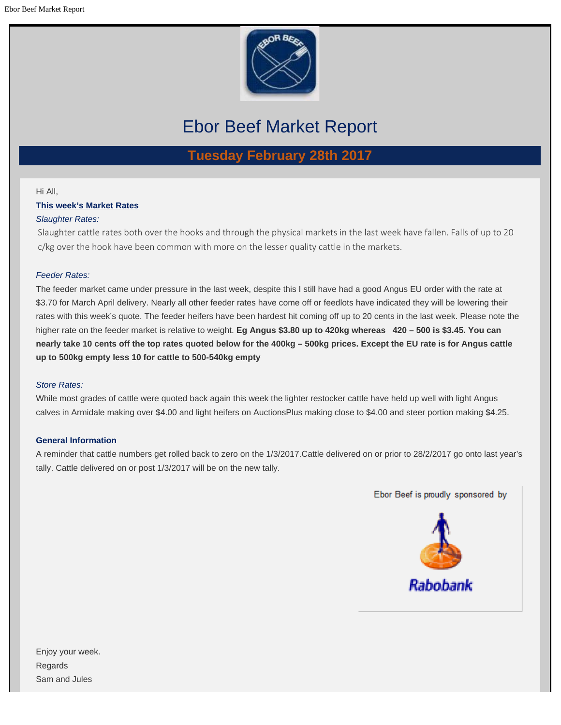

# Ebor Beef Market Report

**Tuesday February 28th 2017**

#### Hi All,

**This week's Market Rates**

# *Slaughter Rates:*

Slaughter cattle rates both over the hooks and through the physical markets in the last week have fallen. Falls of up to 20 c/kg over the hook have been common with more on the lesser quality cattle in the markets.

# *Feeder Rates:*

The feeder market came under pressure in the last week, despite this I still have had a good Angus EU order with the rate at \$3.70 for March April delivery. Nearly all other feeder rates have come off or feedlots have indicated they will be lowering their rates with this week's quote. The feeder heifers have been hardest hit coming off up to 20 cents in the last week. Please note the higher rate on the feeder market is relative to weight. **Eg Angus \$3.80 up to 420kg whereas 420 – 500 is \$3.45. You can nearly take 10 cents off the top rates quoted below for the 400kg – 500kg prices. Except the EU rate is for Angus cattle up to 500kg empty less 10 for cattle to 500-540kg empty**

### *Store Rates:*

While most grades of cattle were quoted back again this week the lighter restocker cattle have held up well with light Angus calves in Armidale making over \$4.00 and light heifers on AuctionsPlus making close to \$4.00 and steer portion making \$4.25.

### **General Information**

A reminder that cattle numbers get rolled back to zero on the 1/3/2017.Cattle delivered on or prior to 28/2/2017 go onto last year's tally. Cattle delivered on or post 1/3/2017 will be on the new tally.



Enjoy your week. Regards Sam and Jules